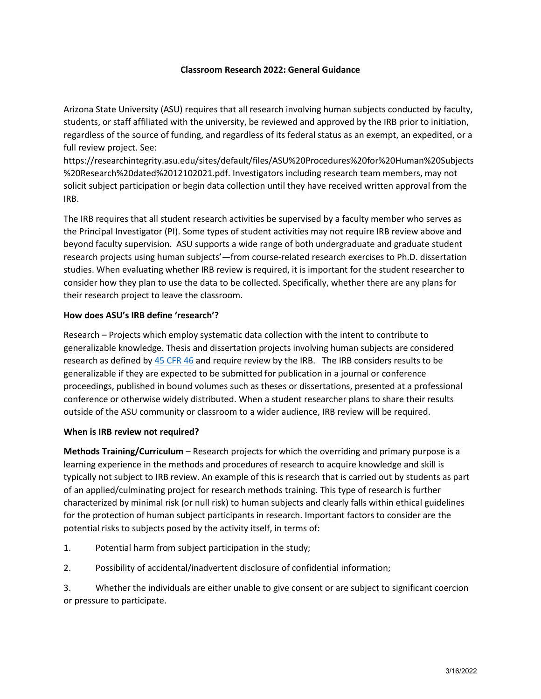## **Classroom Research 2022: General Guidance**

Arizona State University (ASU) requires that all research involving human subjects conducted by faculty, students, or staff affiliated with the university, be reviewed and approved by the IRB prior to initiation, regardless of the source of funding, and regardless of its federal status as an exempt, an expedited, or a full review project. See:

https://researchintegrity.asu.edu/sites/default/files/ASU%20Procedures%20for%20Human%20Subjects %20Research%20dated%2012102021.pdf. Investigators including research team members, may not solicit subject participation or begin data collection until they have received written approval from the IRB.

The IRB requires that all student research activities be supervised by a faculty member who serves as the Principal Investigator (PI). Some types of student activities may not require IRB review above and beyond faculty supervision. ASU supports a wide range of both undergraduate and graduate student research projects using human subjects'—from course-related research exercises to Ph.D. dissertation studies. When evaluating whether IRB review is required, it is important for the student researcher to consider how they plan to use the data to be collected. Specifically, whether there are any plans for their research project to leave the classroom.

## **How does ASU's IRB define 'research'?**

Research – Projects which employ systematic data collection with the intent to contribute to generalizable knowledge. Thesis and dissertation projects involving human subjects are considered research as defined by [45 CFR 46](https://www.hhs.gov/ohrp/regulations-and-policy/regulations/45-cfr-46/index.html) and require review by the IRB. The IRB considers results to be generalizable if they are expected to be submitted for publication in a journal or conference proceedings, published in bound volumes such as theses or dissertations, presented at a professional conference or otherwise widely distributed. When a student researcher plans to share their results outside of the ASU community or classroom to a wider audience, IRB review will be required.

## **When is IRB review not required?**

**Methods Training/Curriculum** – Research projects for which the overriding and primary purpose is a learning experience in the methods and procedures of research to acquire knowledge and skill is typically not subject to IRB review. An example of this is research that is carried out by students as part of an applied/culminating project for research methods training. This type of research is further characterized by minimal risk (or null risk) to human subjects and clearly falls within ethical guidelines for the protection of human subject participants in research. Important factors to consider are the potential risks to subjects posed by the activity itself, in terms of:

- 1. Potential harm from subject participation in the study;
- 2. Possibility of accidental/inadvertent disclosure of confidential information;

3. Whether the individuals are either unable to give consent or are subject to significant coercion or pressure to participate.